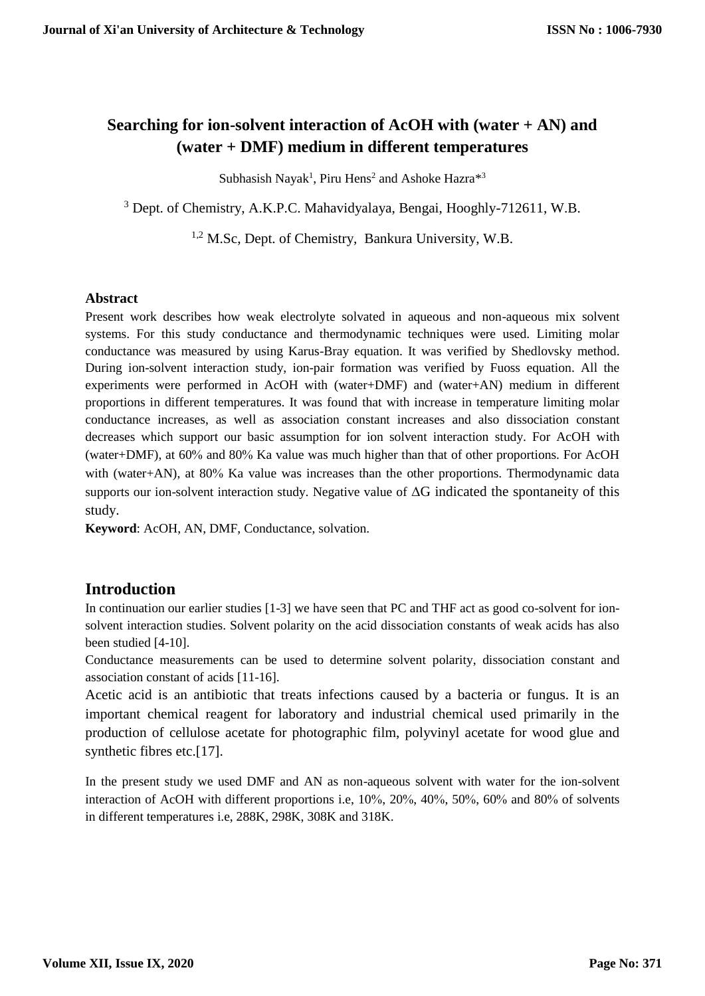# **Searching for ion-solvent interaction of AcOH with (water + AN) and (water + DMF) medium in different temperatures**

Subhasish Nayak<sup>1</sup>, Piru Hens<sup>2</sup> and Ashoke Hazra<sup>\*3</sup>

<sup>3</sup> Dept. of Chemistry, A.K.P.C. Mahavidyalaya, Bengai, Hooghly-712611, W.B.

<sup>1,2</sup> M.Sc, Dept. of Chemistry, Bankura University, W.B.

### **Abstract**

Present work describes how weak electrolyte solvated in aqueous and non-aqueous mix solvent systems. For this study conductance and thermodynamic techniques were used. Limiting molar conductance was measured by using Karus-Bray equation. It was verified by Shedlovsky method. During ion-solvent interaction study, ion-pair formation was verified by Fuoss equation. All the experiments were performed in AcOH with (water+DMF) and (water+AN) medium in different proportions in different temperatures. It was found that with increase in temperature limiting molar conductance increases, as well as association constant increases and also dissociation constant decreases which support our basic assumption for ion solvent interaction study. For AcOH with (water+DMF), at 60% and 80% Ka value was much higher than that of other proportions. For AcOH with (water+AN), at  $80\%$  Ka value was increases than the other proportions. Thermodynamic data supports our ion-solvent interaction study. Negative value of ∆G indicated the spontaneity of this study.

**Keyword**: AcOH, AN, DMF, Conductance, solvation.

# **Introduction**

In continuation our earlier studies [1-3] we have seen that PC and THF act as good co-solvent for ionsolvent interaction studies. Solvent polarity on the acid dissociation constants of weak acids has also been studied [4-10].

Conductance measurements can be used to determine solvent polarity, dissociation constant and association constant of acids [11-16].

Acetic acid is an antibiotic that treats infections caused by a bacteria or fungus. It is an important chemical reagent for laboratory and industrial chemical used primarily in the production of cellulose acetate for photographic film, polyvinyl acetate for wood glue and synthetic fibres etc.[17].

In the present study we used DMF and AN as non-aqueous solvent with water for the ion-solvent interaction of AcOH with different proportions i.e,  $10\%$ ,  $20\%$ ,  $40\%$ ,  $50\%$ ,  $60\%$  and  $80\%$  of solvents in different temperatures i.e, 288K, 298K, 308K and 318K.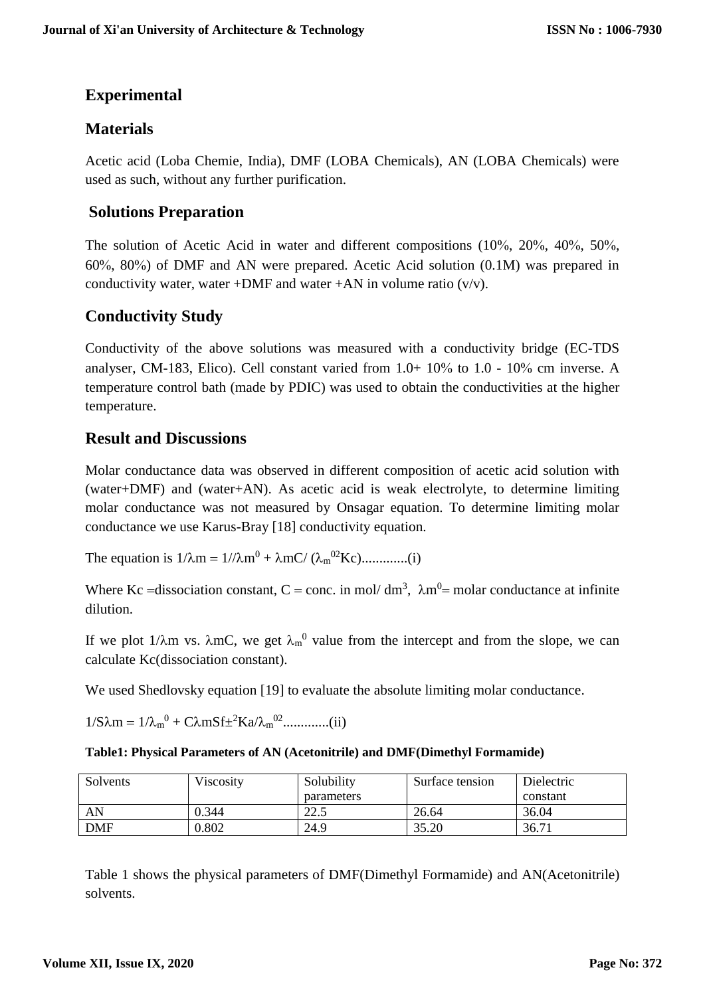# **Experimental**

# **Materials**

Acetic acid (Loba Chemie, India), DMF (LOBA Chemicals), AN (LOBA Chemicals) were used as such, without any further purification.

# **Solutions Preparation**

The solution of Acetic Acid in water and different compositions  $(10\%, 20\%, 40\%, 50\%,$  $60\%$ ,  $80\%$ ) of DMF and AN were prepared. Acetic Acid solution  $(0.1M)$  was prepared in conductivity water, water +DMF and water +AN in volume ratio  $(v/v)$ .

# **Conductivity Study**

Conductivity of the above solutions was measured with a conductivity bridge (EC-TDS analyser, CM-183, Elico). Cell constant varied from  $1.0+10\%$  to  $1.0-10\%$  cm inverse. A temperature control bath (made by PDIC) was used to obtain the conductivities at the higher temperature.

# **Result and Discussions**

Molar conductance data was observed in different composition of acetic acid solution with (water+DMF) and (water+AN). As acetic acid is weak electrolyte, to determine limiting molar conductance was not measured by Onsagar equation. To determine limiting molar conductance we use Karus-Bray [18] conductivity equation.

The equation is  $1/\lambda m = 1/\lambda m^0 + \lambda mC / (\lambda_m^{02} Kc)$ ..............(i)

Where Kc = dissociation constant, C = conc. in mol/ dm<sup>3</sup>,  $\lambda$ m<sup>0</sup> = molar conductance at infinite dilution.

If we plot 1/ $\lambda$ m vs.  $\lambda$ mC, we get  $\lambda_m^0$  value from the intercept and from the slope, we can calculate Kc(dissociation constant).

We used Shedlovsky equation [19] to evaluate the absolute limiting molar conductance.

 $1/S\lambda m = 1/\lambda_m^{0} + C\lambda mSf \pm {}^{2}Ka/\lambda_m^{02}$ ..............(ii)

#### **Table1: Physical Parameters of AN (Acetonitrile) and DMF(Dimethyl Formamide)**

| Solvents   | Viscosity | Solubility     | Surface tension | Dielectric |
|------------|-----------|----------------|-----------------|------------|
|            |           | parameters     |                 | constant   |
| AN         | 0.344     | າາ ເ<br>ل دیکھ | 26.64           | 36.04      |
| <b>DMF</b> | 0.802     | 24.9           | 35.20           | 36.71      |

Table 1 shows the physical parameters of DMF(Dimethyl Formamide) and AN(Acetonitrile) solvents.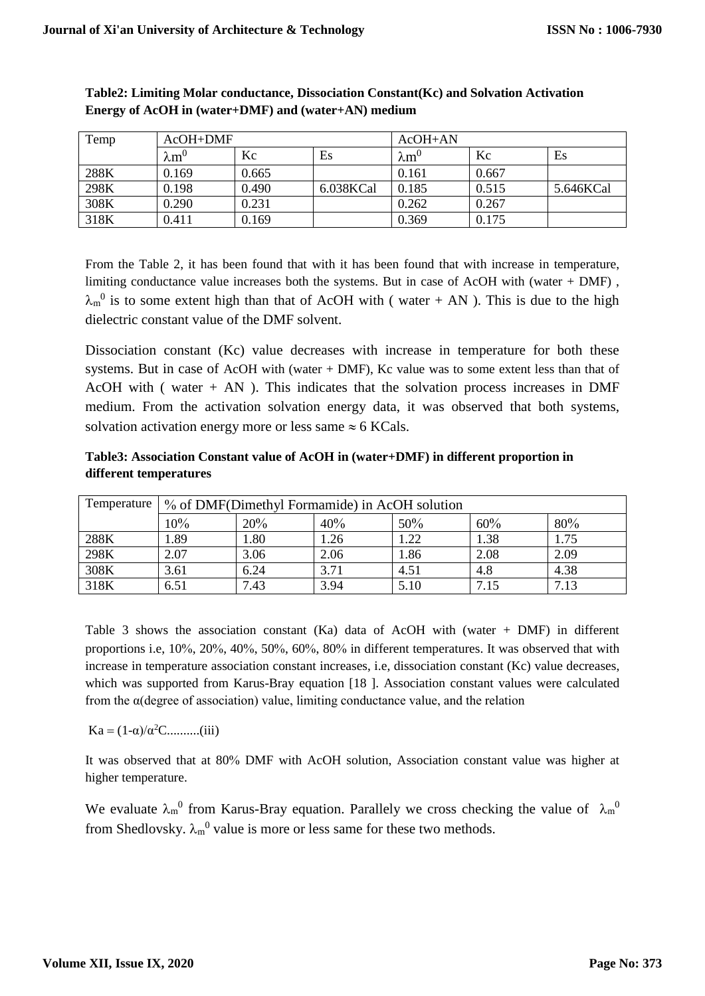| Temp | $AcOH+DMF$        |       |           | $AcOH+AN$         |       |           |
|------|-------------------|-------|-----------|-------------------|-------|-----------|
|      | $\rm \lambda m^0$ | Kc    | Es        | $\rm \lambda m^0$ | Kc    | Es        |
| 288K | 0.169             | 0.665 |           | 0.161             | 0.667 |           |
| 298K | 0.198             | 0.490 | 6.038KCal | 0.185             | 0.515 | 5.646KCal |
| 308K | 0.290             | 0.231 |           | 0.262             | 0.267 |           |
| 318K | 0.411             | 0.169 |           | 0.369             | 0.175 |           |

#### **Table2: Limiting Molar conductance, Dissociation Constant(Kc) and Solvation Activation Energy of AcOH in (water+DMF) and (water+AN) medium**

From the Table 2, it has been found that with it has been found that with increase in temperature, limiting conductance value increases both the systems. But in case of AcOH with (water + DMF) ,  $\lambda_m^0$  is to some extent high than that of AcOH with (water + AN). This is due to the high dielectric constant value of the DMF solvent.

Dissociation constant (Kc) value decreases with increase in temperature for both these systems. But in case of AcOH with (water + DMF), Kc value was to some extent less than that of AcOH with ( water  $+$  AN ). This indicates that the solvation process increases in DMF medium. From the activation solvation energy data, it was observed that both systems, solvation activation energy more or less same  $\approx$  6 KCals.

### **Table3: Association Constant value of AcOH in (water+DMF) in different proportion in different temperatures**

| Temperature | % of DMF(Dimethyl Formamide) in AcOH solution |      |      |      |      |      |
|-------------|-----------------------------------------------|------|------|------|------|------|
|             | 10%                                           | 20%  | 40%  | 50%  | 60%  | 80%  |
| 288K        | l.89                                          | 1.80 | 1.26 | 1.22 | 1.38 | 1.75 |
| 298K        | 2.07                                          | 3.06 | 2.06 | 1.86 | 2.08 | 2.09 |
| 308K        | 3.61                                          | 6.24 | 3.71 | 4.51 | 4.8  | 4.38 |
| 318K        | 6.51                                          | 7.43 | 3.94 | 5.10 | 7.15 | 7.13 |

Table 3 shows the association constant  $(Ka)$  data of AcOH with (water + DMF) in different proportions i.e, 10%, 20%, 40%, 50%, 60%, 80% in different temperatures. It was observed that with increase in temperature association constant increases, i.e, dissociation constant (Kc) value decreases, which was supported from Karus-Bray equation [18]. Association constant values were calculated from the  $\alpha$ (degree of association) value, limiting conductance value, and the relation

 $Ka = (1-\alpha)/\alpha^2C$ .........(iii)

It was observed that at 80% DMF with AcOH solution, Association constant value was higher at higher temperature.

We evaluate  $\lambda_m$ <sup>0</sup> from Karus-Bray equation. Parallely we cross checking the value of  $\lambda_m$ <sup>0</sup> from Shedlovsky.  $\lambda_m^0$  value is more or less same for these two methods.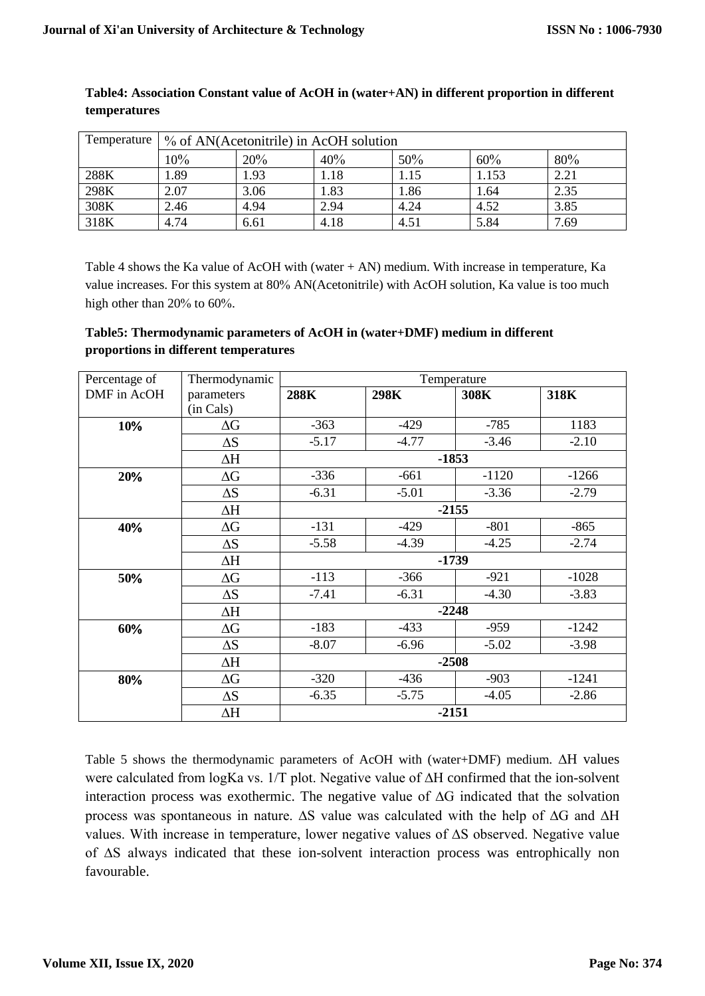| Temperature 1 | % of AN(Acetonitrile) in AcOH solution |      |      |      |       |      |
|---------------|----------------------------------------|------|------|------|-------|------|
|               | 10%                                    | 20%  | 40%  | 50%  | 60%   | 80%  |
| 288K          | 1.89                                   | 1.93 | 1.18 | 1.15 | 1.153 | 2.21 |
| 298K          | 2.07                                   | 3.06 | 1.83 | 1.86 | l.64  | 2.35 |
| 308K          | 2.46                                   | 4.94 | 2.94 | 4.24 | 4.52  | 3.85 |
| 318K          | 4.74                                   | 6.61 | 4.18 | 4.51 | 5.84  | 7.69 |

### **Table4: Association Constant value of AcOH in (water+AN) in different proportion in different temperatures**

Table 4 shows the Ka value of AcOH with (water + AN) medium. With increase in temperature, Ka value increases. For this system at 80% AN(Acetonitrile) with AcOH solution, Ka value is too much high other than  $20\%$  to 60%.

### **Table5: Thermodynamic parameters of AcOH in (water+DMF) medium in different proportions in different temperatures**

| Percentage of | Thermodynamic | Temperature |         |         |         |  |
|---------------|---------------|-------------|---------|---------|---------|--|
| DMF in AcOH   | parameters    | 288K        | 298K    | 308K    | 318K    |  |
|               | (in Cals)     |             |         |         |         |  |
| 10%           | $\Delta G$    | $-363$      | $-429$  | $-785$  | 1183    |  |
|               | $\Delta S$    | $-5.17$     | $-4.77$ | $-3.46$ | $-2.10$ |  |
|               | $\Delta H$    |             |         | $-1853$ |         |  |
| 20%           | $\Delta G$    | $-336$      | $-661$  | $-1120$ | $-1266$ |  |
|               | $\Delta S$    | $-6.31$     | $-5.01$ | $-3.36$ | $-2.79$ |  |
|               | $\Delta H$    |             |         | $-2155$ |         |  |
| 40%           | $\Delta G$    | $-131$      | $-429$  | $-801$  | $-865$  |  |
|               | $\Delta S$    | $-5.58$     | $-4.39$ | $-4.25$ | $-2.74$ |  |
|               | $\Delta H$    |             |         | $-1739$ |         |  |
| 50%           | $\Delta G$    | $-113$      | $-366$  | $-921$  | $-1028$ |  |
|               | $\Delta S$    | $-7.41$     | $-6.31$ | $-4.30$ | $-3.83$ |  |
|               | $\Delta H$    | $-2248$     |         |         |         |  |
| 60%           | $\Delta G$    | $-183$      | $-433$  | $-959$  | $-1242$ |  |
|               | $\Delta S$    | $-8.07$     | $-6.96$ | $-5.02$ | $-3.98$ |  |
|               | $\Delta H$    | $-2508$     |         |         |         |  |
| 80%           | $\Delta G$    | $-320$      | $-436$  | $-903$  | $-1241$ |  |
|               | $\Delta S$    | $-6.35$     | $-5.75$ | $-4.05$ | $-2.86$ |  |
|               | $\Delta H$    | $-2151$     |         |         |         |  |

Table 5 shows the thermodynamic parameters of AcOH with (water+DMF) medium. ∆H values were calculated from logKa vs. 1/T plot. Negative value of ∆H confirmed that the ion-solvent interaction process was exothermic. The negative value of ∆G indicated that the solvation process was spontaneous in nature. ∆S value was calculated with the help of ∆G and ∆H values. With increase in temperature, lower negative values of ∆S observed. Negative value of ∆S always indicated that these ion-solvent interaction process was entrophically non favourable.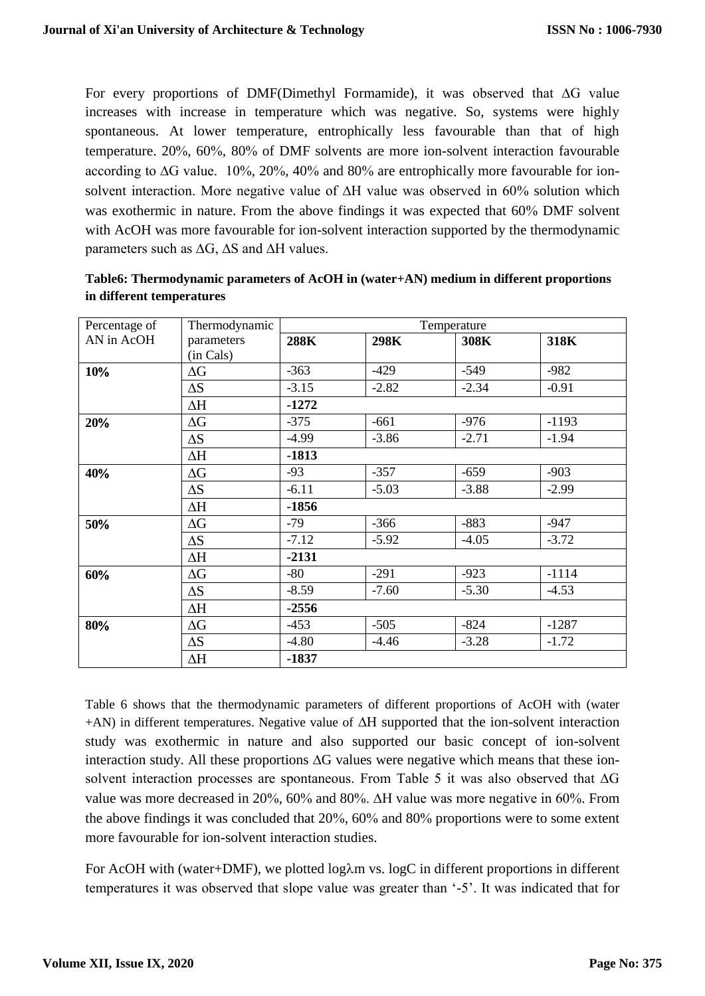For every proportions of DMF(Dimethyl Formamide), it was observed that ∆G value increases with increase in temperature which was negative. So, systems were highly spontaneous. At lower temperature, entrophically less favourable than that of high temperature.  $20\%$ ,  $60\%$ ,  $80\%$  of DMF solvents are more ion-solvent interaction favourable according to  $\Delta G$  value. 10%, 20%, 40% and 80% are entrophically more favourable for ionsolvent interaction. More negative value of ∆H value was observed in 60% solution which was exothermic in nature. From the above findings it was expected that 60% DMF solvent with AcOH was more favourable for ion-solvent interaction supported by the thermodynamic parameters such as ∆G, ∆S and ∆H values.

| Percentage of | Thermodynamic | Temperature |         |         |         |
|---------------|---------------|-------------|---------|---------|---------|
| AN in AcOH    | parameters    | 288K        | 298K    | 308K    | 318K    |
|               | (in Cals)     |             |         |         |         |
| 10%           | $\Delta G$    | $-363$      | $-429$  | $-549$  | $-982$  |
|               | $\Delta S$    | $-3.15$     | $-2.82$ | $-2.34$ | $-0.91$ |
|               | $\Delta H$    | $-1272$     |         |         |         |
| 20%           | $\Delta G$    | $-375$      | $-661$  | $-976$  | $-1193$ |
|               | $\Delta S$    | $-4.99$     | $-3.86$ | $-2.71$ | $-1.94$ |
|               | $\Delta H$    | $-1813$     |         |         |         |
| 40%           | $\Delta G$    | $-93$       | $-357$  | $-659$  | $-903$  |
|               | $\Delta S$    | $-6.11$     | $-5.03$ | $-3.88$ | $-2.99$ |
|               | $\Delta H$    | $-1856$     |         |         |         |
| 50%           | $\Delta G$    | $-79$       | $-366$  | $-883$  | $-947$  |
|               | $\Delta S$    | $-7.12$     | $-5.92$ | $-4.05$ | $-3.72$ |
|               | $\Delta H$    | $-2131$     |         |         |         |
| 60%           | $\Delta G$    | $-80$       | $-291$  | $-923$  | $-1114$ |
|               | $\Delta S$    | $-8.59$     | $-7.60$ | $-5.30$ | $-4.53$ |
|               | $\Delta H$    | $-2556$     |         |         |         |
| 80%           | $\Delta G$    | $-453$      | $-505$  | $-824$  | $-1287$ |
|               | $\Delta S$    | $-4.80$     | $-4.46$ | $-3.28$ | $-1.72$ |
|               | $\Delta H$    | $-1837$     |         |         |         |

| Table6: Thermodynamic parameters of AcOH in (water+AN) medium in different proportions |  |
|----------------------------------------------------------------------------------------|--|
| in different temperatures                                                              |  |

Table 6 shows that the thermodynamic parameters of different proportions of AcOH with (water +AN) in different temperatures. Negative value of ∆H supported that the ion-solvent interaction study was exothermic in nature and also supported our basic concept of ion-solvent interaction study. All these proportions ∆G values were negative which means that these ionsolvent interaction processes are spontaneous. From Table 5 it was also observed that ∆G value was more decreased in 20%, 60% and 80%.  $\Delta H$  value was more negative in 60%. From the above findings it was concluded that  $20\%$ ,  $60\%$  and  $80\%$  proportions were to some extent more favourable for ion-solvent interaction studies.

For AcOH with (water+DMF), we plotted  $log\lambda m$  vs.  $logC$  in different proportions in different temperatures it was observed that slope value was greater than '-5'. It was indicated that for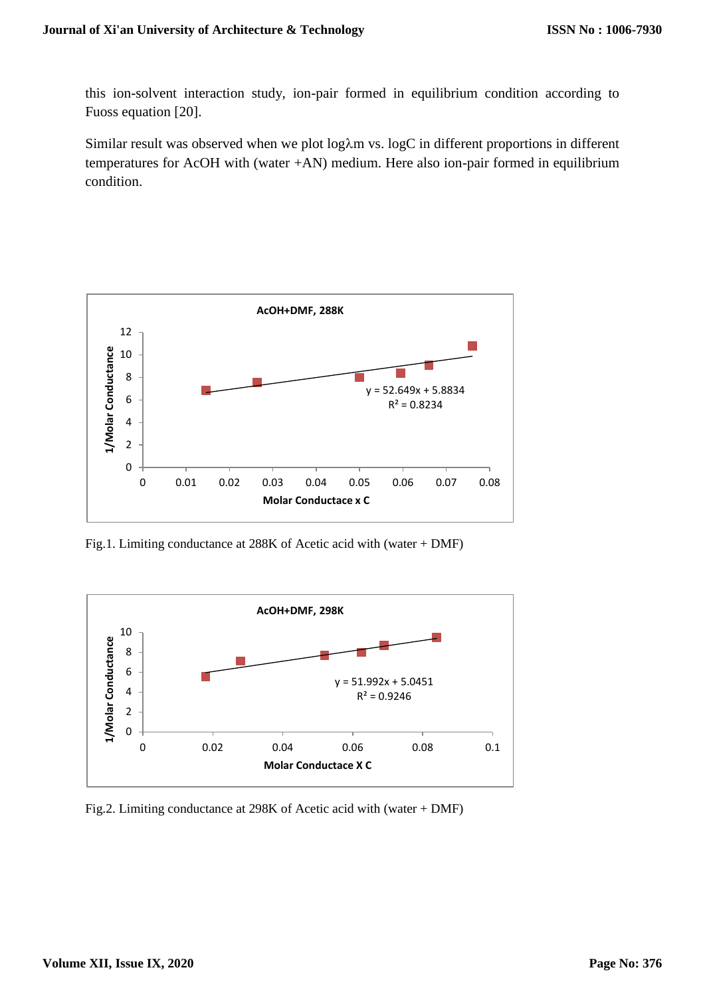this ion-solvent interaction study, ion-pair formed in equilibrium condition according to Fuoss equation [20].

Similar result was observed when we plot log $\lambda$ m vs. logC in different proportions in different temperatures for AcOH with (water +AN) medium. Here also ion-pair formed in equilibrium condition.



Fig.1. Limiting conductance at 288K of Acetic acid with (water + DMF)



Fig.2. Limiting conductance at 298K of Acetic acid with (water + DMF)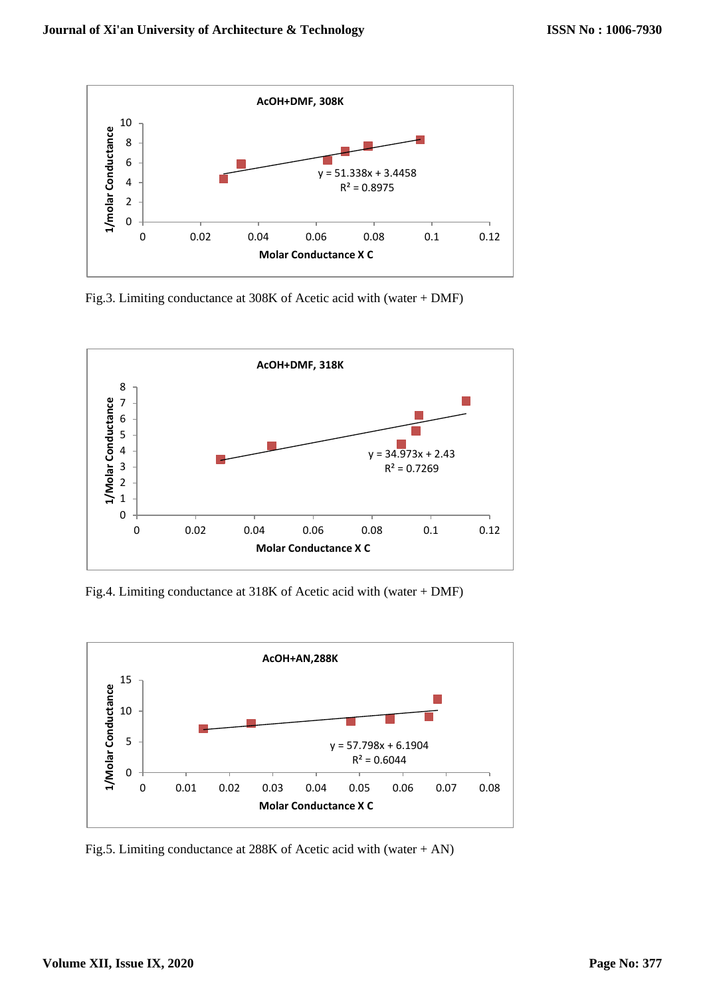

Fig.3. Limiting conductance at 308K of Acetic acid with (water + DMF)



Fig.4. Limiting conductance at 318K of Acetic acid with (water + DMF)



Fig.5. Limiting conductance at 288K of Acetic acid with (water + AN)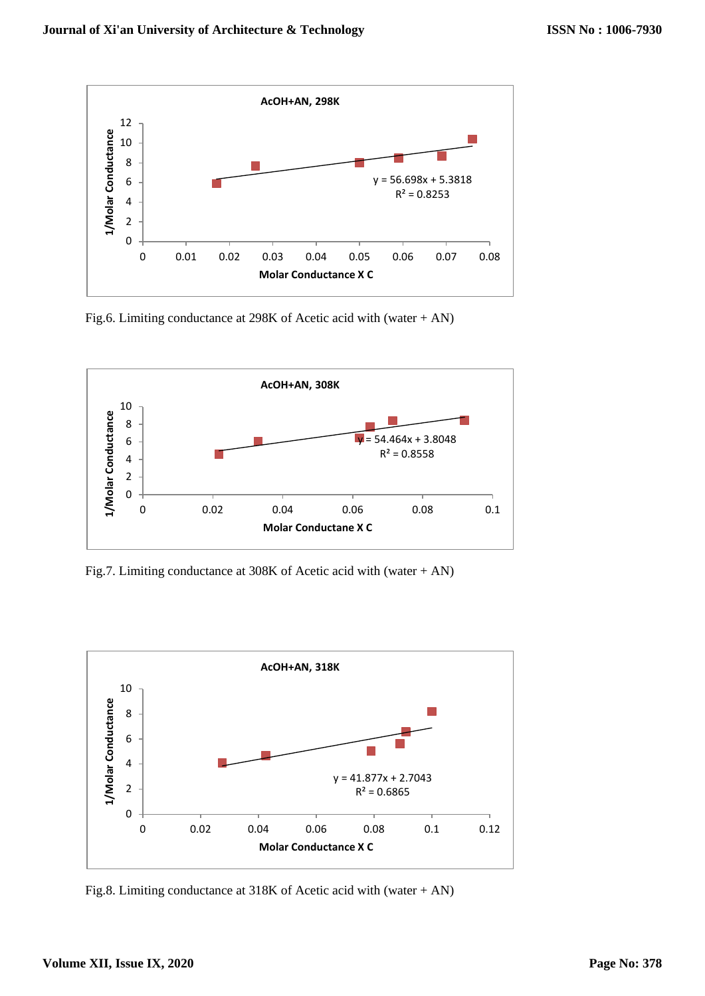

Fig.6. Limiting conductance at 298K of Acetic acid with (water + AN)



Fig.7. Limiting conductance at 308K of Acetic acid with (water + AN)



Fig.8. Limiting conductance at 318K of Acetic acid with (water + AN)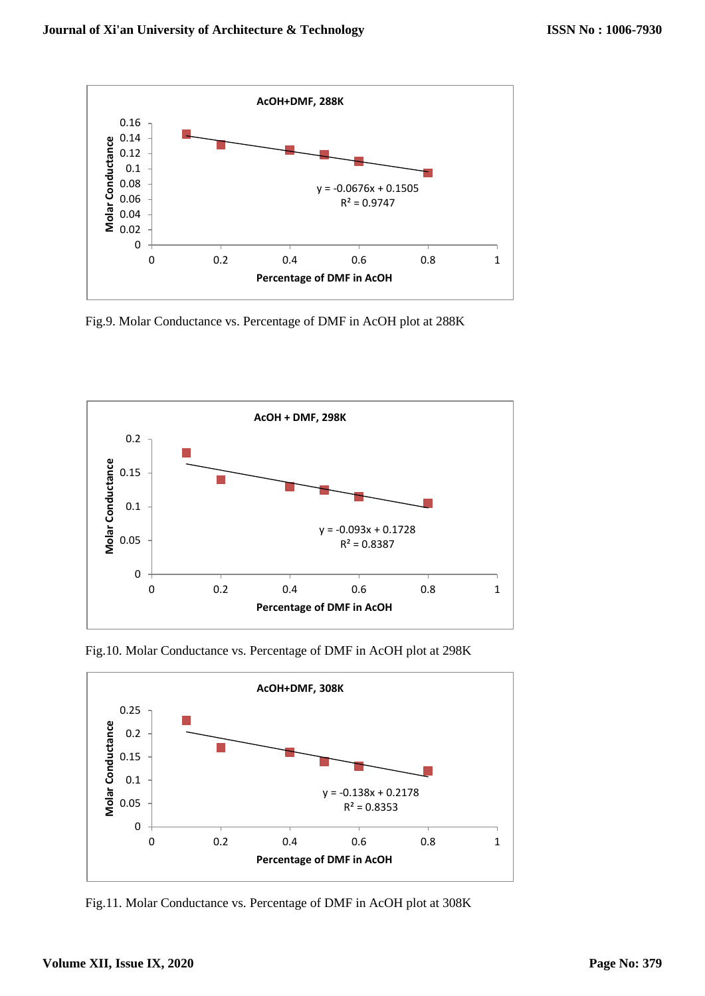

Fig.9. Molar Conductance vs. Percentage of DMF in AcOH plot at 288K



Fig.10. Molar Conductance vs. Percentage of DMF in AcOH plot at 298K



Fig.11. Molar Conductance vs. Percentage of DMF in AcOH plot at 308K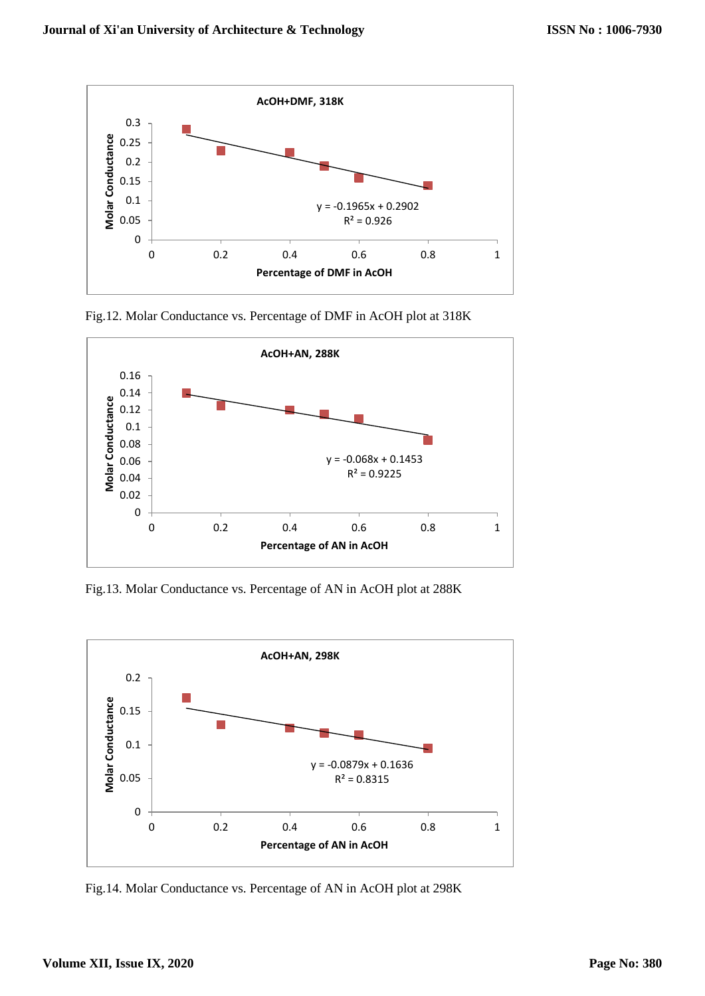

Fig.12. Molar Conductance vs. Percentage of DMF in AcOH plot at 318K



Fig.13. Molar Conductance vs. Percentage of AN in AcOH plot at 288K



Fig.14. Molar Conductance vs. Percentage of AN in AcOH plot at 298K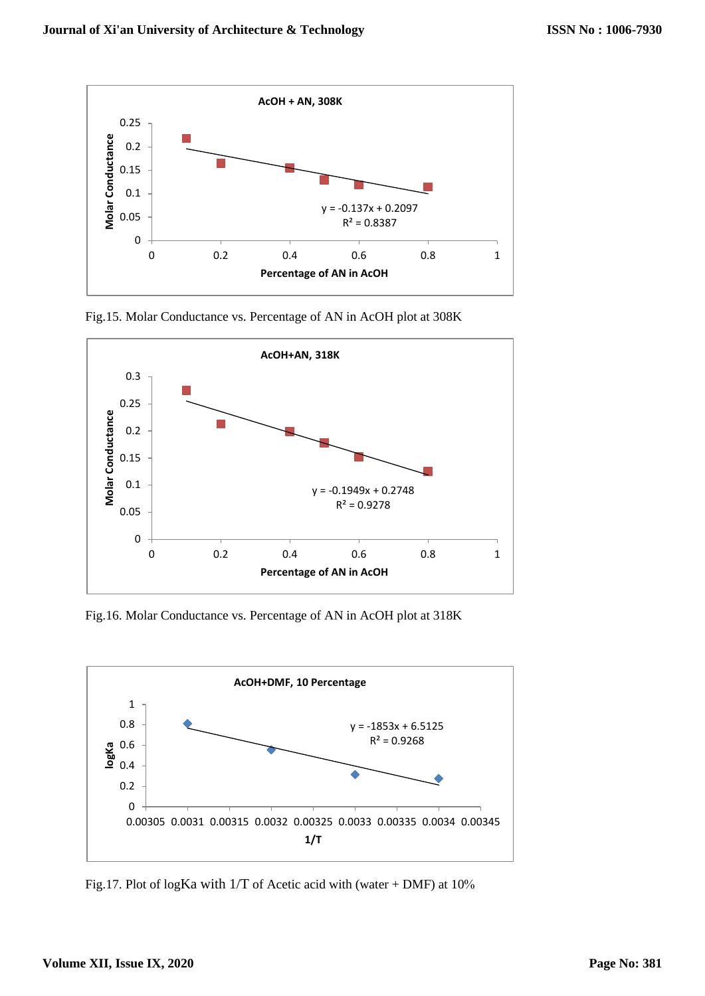

Fig.15. Molar Conductance vs. Percentage of AN in AcOH plot at 308K



Fig.16. Molar Conductance vs. Percentage of AN in AcOH plot at 318K



Fig.17. Plot of logKa with  $1/T$  of Acetic acid with (water + DMF) at  $10\%$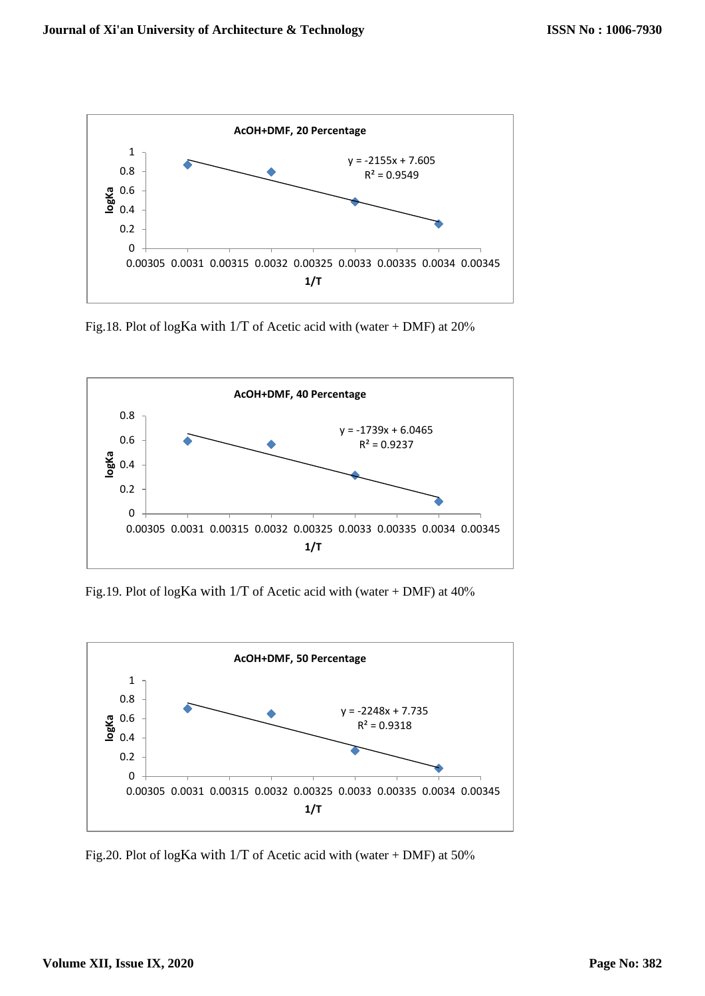

Fig.18. Plot of logKa with  $1/T$  of Acetic acid with (water + DMF) at  $20\%$ 



Fig.19. Plot of logKa with  $1/T$  of Acetic acid with (water + DMF) at  $40\%$ 



Fig.20. Plot of logKa with 1/T of Acetic acid with (water + DMF) at 50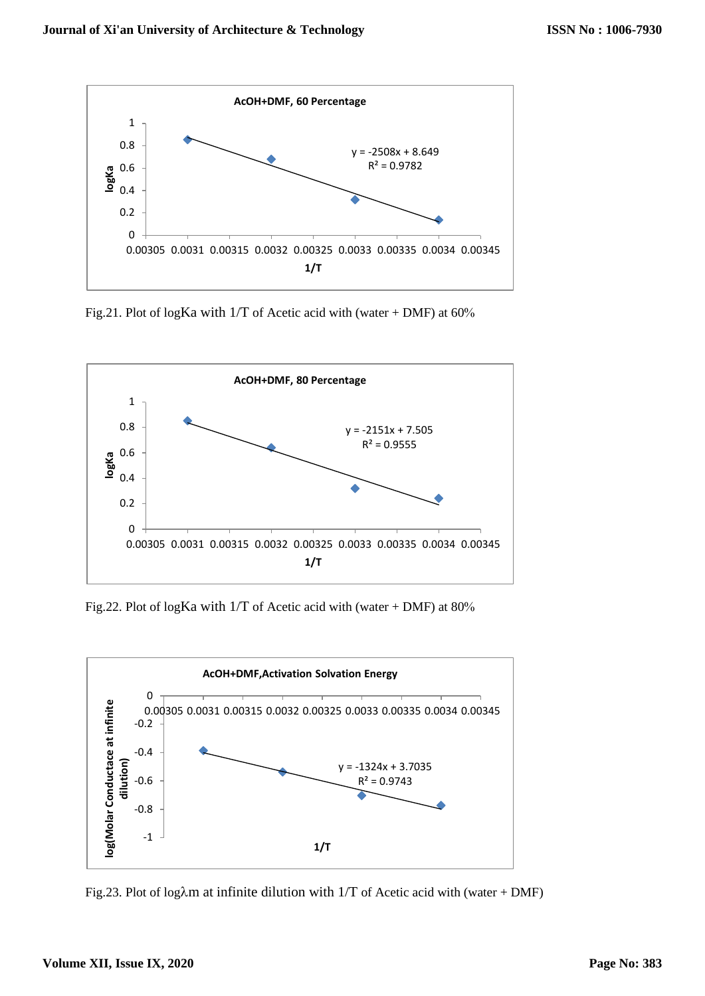

Fig.21. Plot of logKa with  $1/T$  of Acetic acid with (water + DMF) at 60%



Fig.22. Plot of logKa with  $1/T$  of Acetic acid with (water + DMF) at  $80\%$ 



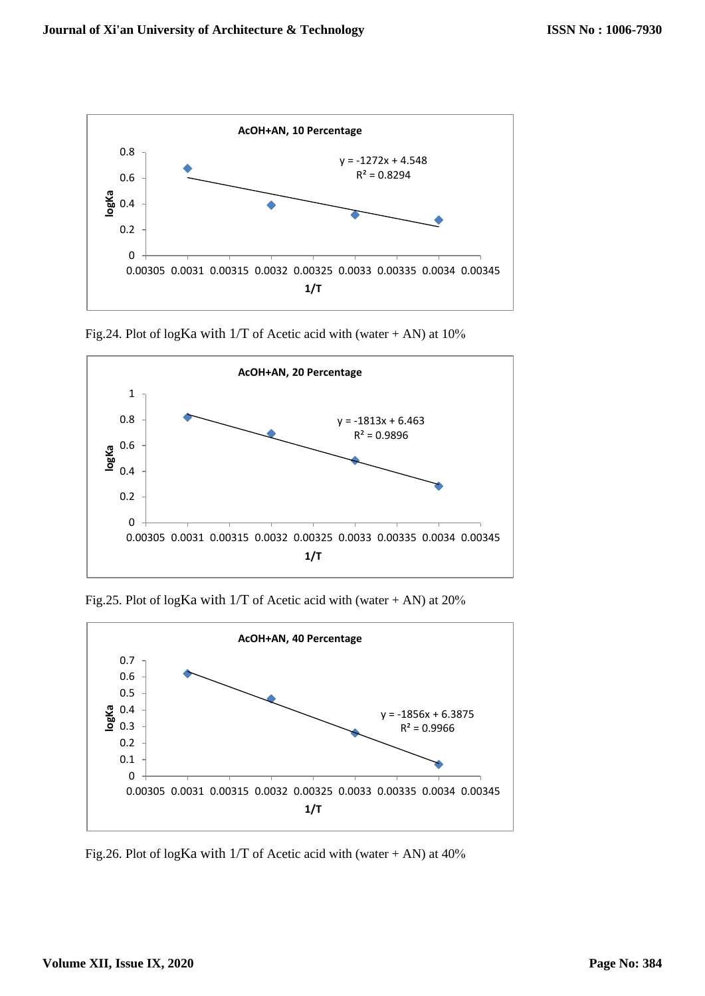

Fig.24. Plot of logKa with  $1/T$  of Acetic acid with (water + AN) at  $10\%$ 



Fig.25. Plot of logKa with  $1/T$  of Acetic acid with (water + AN) at 20%



Fig.26. Plot of logKa with  $1/T$  of Acetic acid with (water + AN) at 40%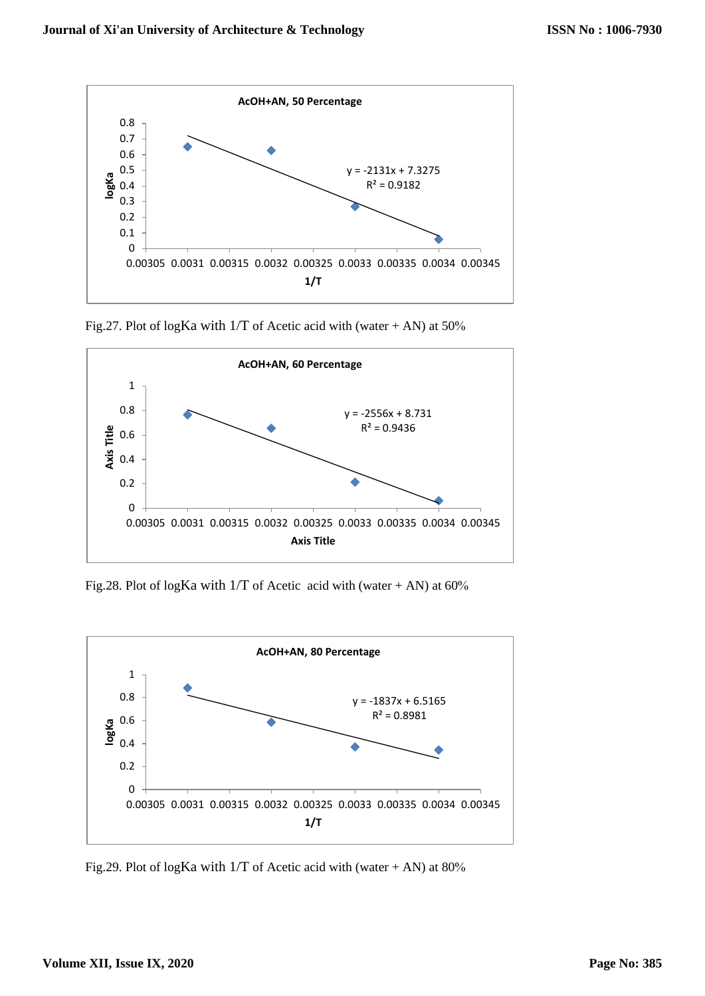

Fig.27. Plot of logKa with  $1/T$  of Acetic acid with (water + AN) at 50%



Fig.28. Plot of logKa with  $1/T$  of Acetic acid with (water + AN) at 60%



Fig.29. Plot of logKa with  $1/T$  of Acetic acid with (water + AN) at 80%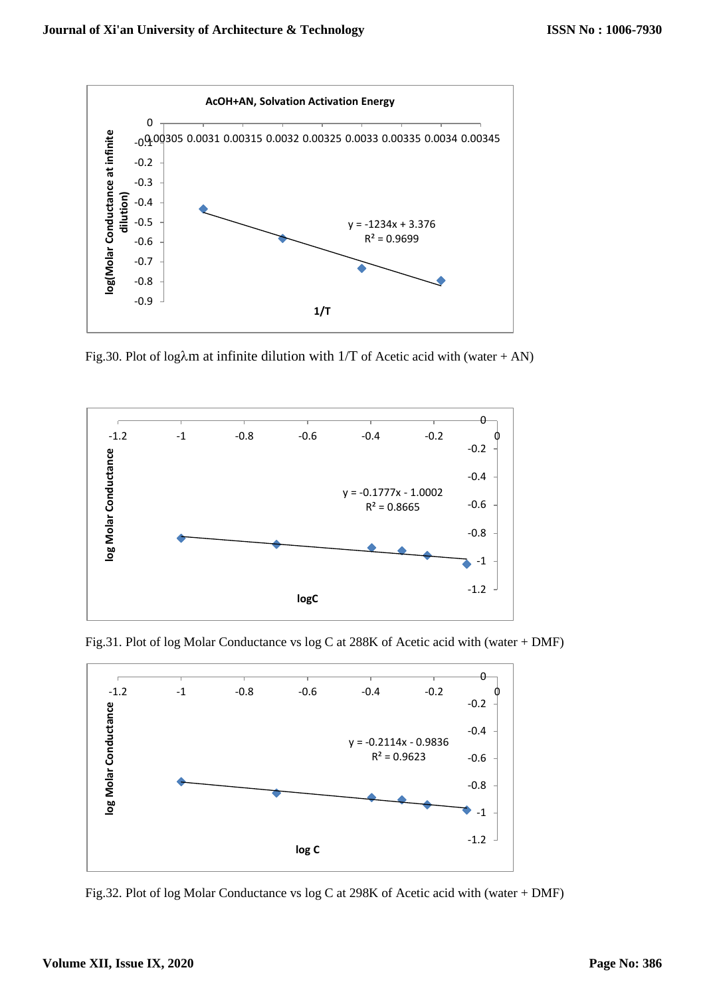

Fig.30. Plot of log $\lambda$ m at infinite dilution with 1/T of Acetic acid with (water + AN)



Fig.31. Plot of log Molar Conductance vs log C at 288K of Acetic acid with (water + DMF)



Fig.32. Plot of log Molar Conductance vs log C at 298K of Acetic acid with (water + DMF)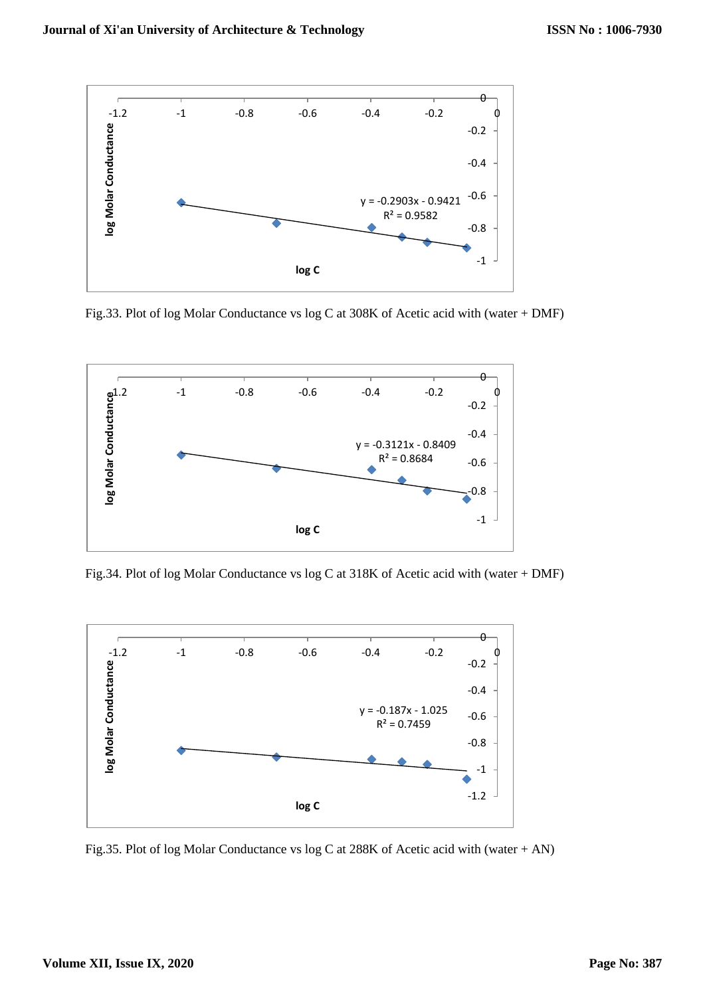

Fig.33. Plot of log Molar Conductance vs log C at 308K of Acetic acid with (water + DMF)



Fig.34. Plot of log Molar Conductance vs log C at 318K of Acetic acid with (water + DMF)



Fig.35. Plot of log Molar Conductance vs log C at 288K of Acetic acid with (water + AN)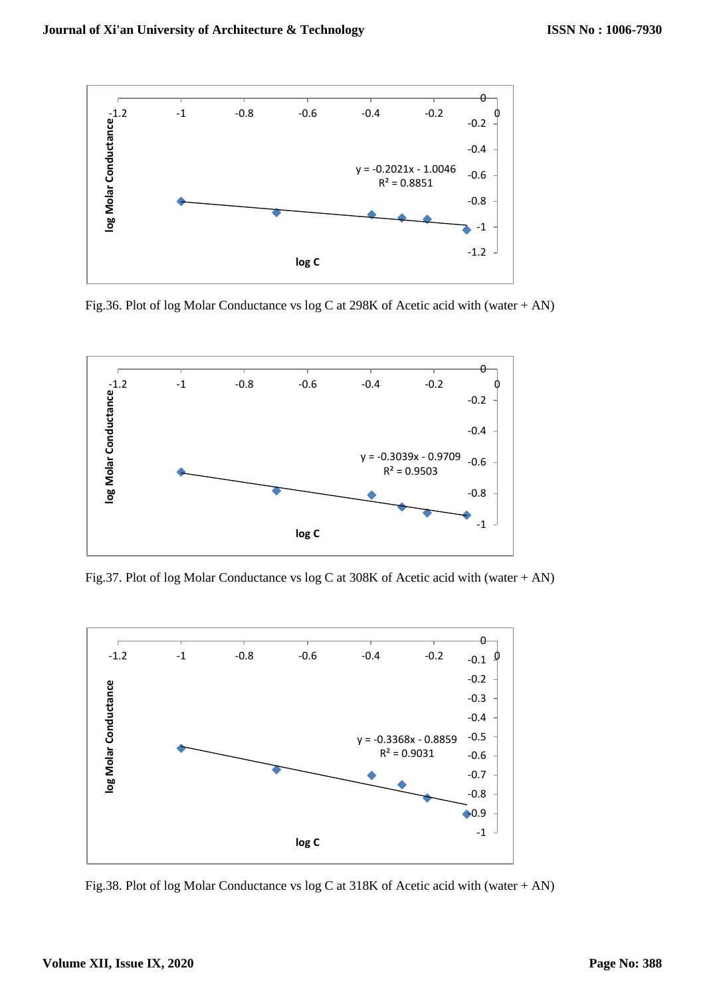

Fig.36. Plot of log Molar Conductance vs log C at 298K of Acetic acid with (water + AN)



Fig.37. Plot of log Molar Conductance vs log C at 308K of Acetic acid with (water + AN)



Fig.38. Plot of log Molar Conductance vs log C at 318K of Acetic acid with (water + AN)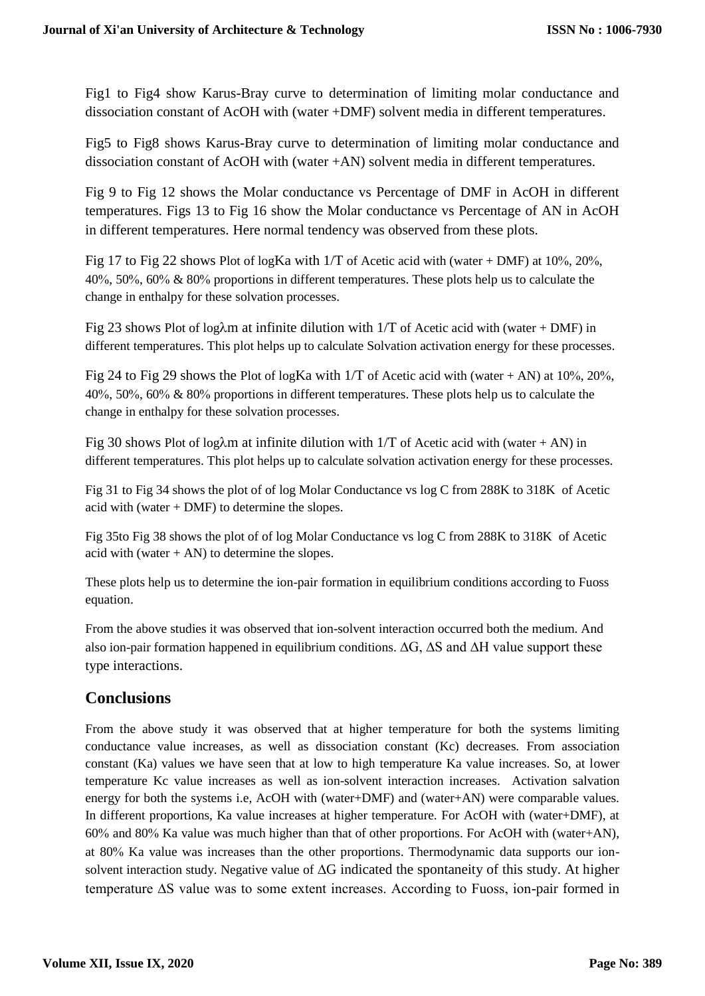Fig1 to Fig4 show Karus-Bray curve to determination of limiting molar conductance and dissociation constant of AcOH with (water +DMF) solvent media in different temperatures.

Fig5 to Fig8 shows Karus-Bray curve to determination of limiting molar conductance and dissociation constant of AcOH with (water +AN) solvent media in different temperatures.

Fig 9 to Fig 12 shows the Molar conductance vs Percentage of DMF in AcOH in different temperatures. Figs 13 to Fig 16 show the Molar conductance vs Percentage of AN in AcOH in different temperatures. Here normal tendency was observed from these plots.

Fig 17 to Fig 22 shows Plot of logKa with  $1/T$  of Acetic acid with (water + DMF) at 10%, 20%, 40%, 50%, 60%  $\&$  80% proportions in different temperatures. These plots help us to calculate the change in enthalpy for these solvation processes.

Fig 23 shows Plot of log $\lambda$ m at infinite dilution with 1/T of Acetic acid with (water + DMF) in different temperatures. This plot helps up to calculate Solvation activation energy for these processes.

Fig 24 to Fig 29 shows the Plot of logKa with  $1/T$  of Acetic acid with (water + AN) at 10%, 20%, 40%, 50%, 60%  $\&$  80% proportions in different temperatures. These plots help us to calculate the change in enthalpy for these solvation processes.

Fig 30 shows Plot of log $\lambda$ m at infinite dilution with 1/T of Acetic acid with (water + AN) in different temperatures. This plot helps up to calculate solvation activation energy for these processes.

Fig 31 to Fig 34 shows the plot of of log Molar Conductance vs log C from 288K to 318K of Acetic acid with (water + DMF) to determine the slopes.

Fig 35to Fig 38 shows the plot of of log Molar Conductance vs log C from 288K to 318K of Acetic acid with (water  $+$  AN) to determine the slopes.

These plots help us to determine the ion-pair formation in equilibrium conditions according to Fuoss equation.

From the above studies it was observed that ion-solvent interaction occurred both the medium. And also ion-pair formation happened in equilibrium conditions. ∆G, ∆S and ∆H value support these type interactions.

# **Conclusions**

From the above study it was observed that at higher temperature for both the systems limiting conductance value increases, as well as dissociation constant (Kc) decreases. From association constant (Ka) values we have seen that at low to high temperature Ka value increases. So, at lower temperature Kc value increases as well as ion-solvent interaction increases. Activation salvation energy for both the systems i.e, AcOH with (water+DMF) and (water+AN) were comparable values. In different proportions, Ka value increases at higher temperature. For AcOH with (water+DMF), at 60% and 80% Ka value was much higher than that of other proportions. For AcOH with (water+AN), at 80% Ka value was increases than the other proportions. Thermodynamic data supports our ionsolvent interaction study. Negative value of ∆G indicated the spontaneity of this study. At higher temperature ∆S value was to some extent increases. According to Fuoss, ion-pair formed in